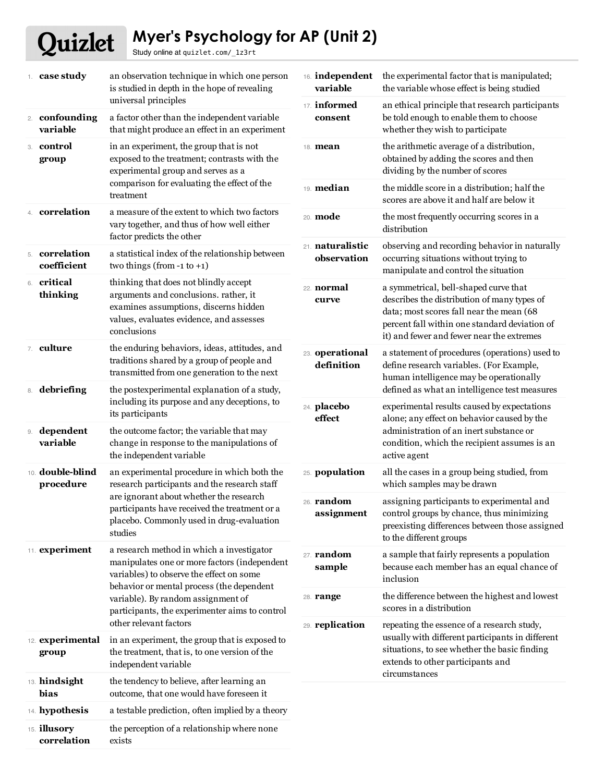## Quizlet **Myer's Psychology for AP (Unit 2)**

Study online at quizlet.com/\_1z3rt

| 1. $case study$                      | an observation technique in which one person<br>is studied in depth in the hope of revealing                                                                                                                                                                                                         | variable                        | 16. <b>independent</b> the experimental factor that is manipulated;<br>the variable whose effect is being studied                                                                                                              |
|--------------------------------------|------------------------------------------------------------------------------------------------------------------------------------------------------------------------------------------------------------------------------------------------------------------------------------------------------|---------------------------------|--------------------------------------------------------------------------------------------------------------------------------------------------------------------------------------------------------------------------------|
| 2. confounding<br>variable           | universal principles<br>a factor other than the independent variable<br>that might produce an effect in an experiment                                                                                                                                                                                | 17. informed<br>consent         | an ethical principle that research participants<br>be told enough to enable them to choose<br>whether they wish to participate                                                                                                 |
| 3. control<br>group                  | in an experiment, the group that is not<br>exposed to the treatment; contrasts with the<br>experimental group and serves as a<br>comparison for evaluating the effect of the<br>treatment                                                                                                            | 18. mean                        | the arithmetic average of a distribution,<br>obtained by adding the scores and then<br>dividing by the number of scores                                                                                                        |
|                                      |                                                                                                                                                                                                                                                                                                      | 19. median                      | the middle score in a distribution; half the<br>scores are above it and half are below it                                                                                                                                      |
| 4. correlation                       | a measure of the extent to which two factors<br>vary together, and thus of how well either<br>factor predicts the other                                                                                                                                                                              | 20. mode                        | the most frequently occurring scores in a<br>distribution                                                                                                                                                                      |
| 5. correlation<br>coefficient        | a statistical index of the relationship between<br>two things (from -1 to +1)                                                                                                                                                                                                                        | 21. naturalistic<br>observation | observing and recording behavior in naturally<br>occurring situations without trying to<br>manipulate and control the situation                                                                                                |
| 6. critical<br>thinking              | thinking that does not blindly accept<br>arguments and conclusions. rather, it<br>examines assumptions, discerns hidden<br>values, evaluates evidence, and assesses<br>conclusions                                                                                                                   | 22. <b>normal</b><br>curve      | a symmetrical, bell-shaped curve that<br>describes the distribution of many types of<br>data; most scores fall near the mean (68<br>percent fall within one standard deviation of<br>it) and fewer and fewer near the extremes |
| 7. culture                           | the enduring behaviors, ideas, attitudes, and<br>traditions shared by a group of people and<br>transmitted from one generation to the next                                                                                                                                                           | 23. operational<br>definition   | a statement of procedures (operations) used to<br>define research variables. (For Example,<br>human intelligence may be operationally                                                                                          |
| 8. debriefing                        | the postexperimental explanation of a study,<br>including its purpose and any deceptions, to<br>its participants                                                                                                                                                                                     | 24. placebo<br>effect           | defined as what an intelligence test measures<br>experimental results caused by expectations<br>alone; any effect on behavior caused by the                                                                                    |
| 9. dependent<br>variable             | the outcome factor; the variable that may<br>change in response to the manipulations of<br>the independent variable                                                                                                                                                                                  |                                 | administration of an inert substance or<br>condition, which the recipient assumes is an<br>active agent                                                                                                                        |
| 10. <b>double-blind</b><br>procedure | an experimental procedure in which both the<br>research participants and the research staff<br>are ignorant about whether the research<br>participants have received the treatment or a<br>placebo. Commonly used in drug-evaluation<br>studies                                                      | 25. population                  | all the cases in a group being studied, from<br>which samples may be drawn                                                                                                                                                     |
|                                      |                                                                                                                                                                                                                                                                                                      | 26. <b>random</b><br>assignment | assigning participants to experimental and<br>control groups by chance, thus minimizing<br>preexisting differences between those assigned<br>to the different groups                                                           |
| 11. experiment                       | a research method in which a investigator<br>manipulates one or more factors (independent<br>variables) to observe the effect on some<br>behavior or mental process (the dependent<br>variable). By random assignment of<br>participants, the experimenter aims to control<br>other relevant factors | 27. <b>random</b><br>sample     | a sample that fairly represents a population<br>because each member has an equal chance of<br>inclusion                                                                                                                        |
|                                      |                                                                                                                                                                                                                                                                                                      | 28. <b>range</b>                | the difference between the highest and lowest<br>scores in a distribution                                                                                                                                                      |
|                                      |                                                                                                                                                                                                                                                                                                      | 29. replication                 | repeating the essence of a research study,<br>usually with different participants in different                                                                                                                                 |
| 12. experimental<br>group            | in an experiment, the group that is exposed to<br>the treatment, that is, to one version of the<br>independent variable                                                                                                                                                                              |                                 | situations, to see whether the basic finding<br>extends to other participants and<br>circumstances                                                                                                                             |
| 13. hindsight<br>bias                | the tendency to believe, after learning an<br>outcome, that one would have foreseen it                                                                                                                                                                                                               |                                 |                                                                                                                                                                                                                                |
| 14. hypothesis                       | a testable prediction, often implied by a theory                                                                                                                                                                                                                                                     |                                 |                                                                                                                                                                                                                                |
| 15. illusory<br>correlation          | the perception of a relationship where none<br>exists                                                                                                                                                                                                                                                |                                 |                                                                                                                                                                                                                                |